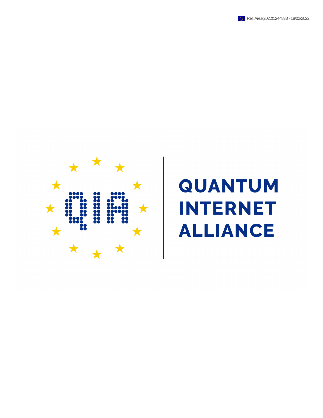



## **QUANTUM INTERNET LIANCE** A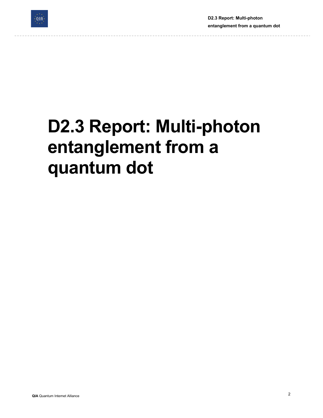

**D2.3 Report: Multi-photon entanglement from a quantum dot** 

---------------

# **D2.3 Report: Multi-photon entanglement from a quantum dot**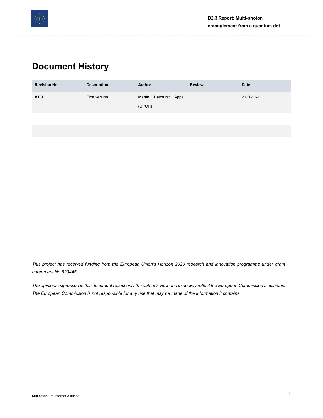

#### **Document History**

| <b>Revision Nr</b> | <b>Description</b> | <b>Author</b>                   | <b>Review</b> | <b>Date</b> |
|--------------------|--------------------|---------------------------------|---------------|-------------|
| V1.0               | First version      | Martin Hayhurst Appel<br>(UPCH) |               | 2021-12-11  |
|                    |                    |                                 |               |             |

*This project has received funding from the European Union's Horizon 2020 research and innovation programme under grant agreement No 820445.* 

*The opinions expressed in this document reflect only the author's view and in no way reflect the European Commission's opinions. The European Commission is not responsible for any use that may be made of the information it contains.*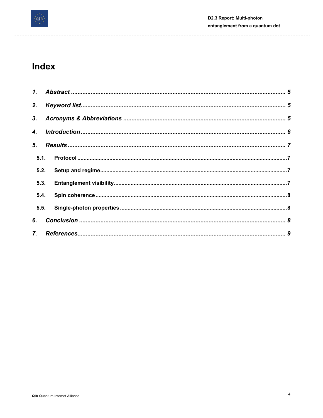

---------------------------------

 $\sim$  .

#### Index

 $= -$ 

| 2.               |  |  |  |  |  |
|------------------|--|--|--|--|--|
|                  |  |  |  |  |  |
| $\overline{4}$ . |  |  |  |  |  |
| 5.               |  |  |  |  |  |
| 5.1.             |  |  |  |  |  |
| 5.2.             |  |  |  |  |  |
| 5.3.             |  |  |  |  |  |
| 5.4.             |  |  |  |  |  |
| 5.5.             |  |  |  |  |  |
| 6.               |  |  |  |  |  |
|                  |  |  |  |  |  |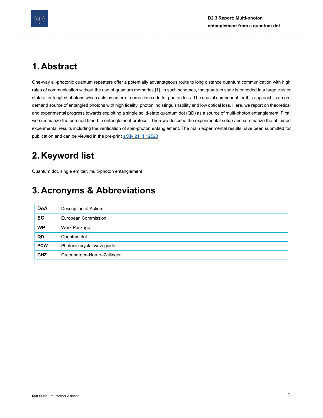

#### **1. Abstract**

One-way all-photonic quantum repeaters offer a potentially advantageous route to long distance quantum communication with high rates of communication without the use of quantum memories [1]. In such schemes, the quantum state is encoded in a large cluster state of entangled photons which acts as an error correction code for photon loss. The crucial component for this approach is an ondemand source of entangled photons with high fidelity, photon indistinguishability and low optical loss. Here, we report on theoretical and experimental progress towards exploiting a single solid-state quantum dot (QD) as a source of multi-photon entanglement. First, we summarize the pursued time-bin entanglement protocol. Then we describe the experimental setup and summarize the obtained experimental results including the verification of spin-photon entanglement. The main experimental results have been submitted for publication and can be viewed in the pre-print arXiv:2111.12523

## **2. Keyword list**

Quantum dot, single emitter, multi-photon entanglement

## **3. Acronyms & Abbreviations**

| <b>DoA</b> | Description of Action       |  |
|------------|-----------------------------|--|
| EC         | European Commission         |  |
| <b>WP</b>  | Work Package                |  |
| QD         | Quantum dot                 |  |
| <b>PCW</b> | Photonic crystal waveguide  |  |
| <b>GHZ</b> | Greenberger-Horne-Zeilinger |  |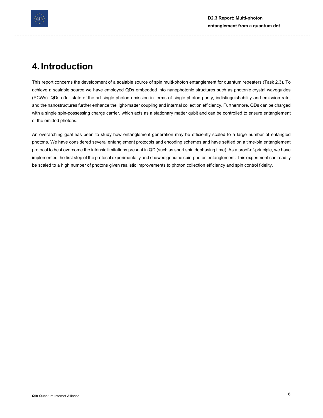

#### **4. Introduction**

This report concerns the development of a scalable source of spin multi-photon entanglement for quantum repeaters (Task 2.3). To achieve a scalable source we have employed QDs embedded into nanophotonic structures such as photonic crystal waveguides (PCWs). QDs offer state-of-the-art single-photon emission in terms of single-photon purity, indistinguishability and emission rate, and the nanostructures further enhance the light-matter coupling and internal collection efficiency. Furthermore, QDs can be charged with a single spin-possessing charge carrier, which acts as a stationary matter qubit and can be controlled to ensure entanglement of the emitted photons.

An overarching goal has been to study how entanglement generation may be efficiently scaled to a large number of entangled photons. We have considered several entanglement protocols and encoding schemes and have settled on a time-bin entanglement protocol to best overcome the intrinsic limitations present in QD (such as short spin dephasing time). As a proof-of-principle, we have implemented the first step of the protocol experimentally and showed genuine spin-photon entanglement. This experiment can readily be scaled to a high number of photons given realistic improvements to photon collection efficiency and spin control fidelity.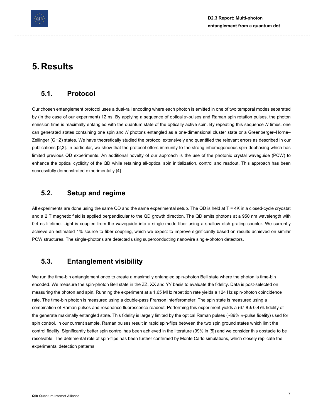

#### **5. Results**

#### **5.1. Protocol**

Our chosen entanglement protocol uses a dual-rail encoding where each photon is emitted in one of two temporal modes separated by (in the case of our experiment) 12 ns. By applying a sequence of optical  $\pi$ -pulses and Raman spin rotation pulses, the photon emission time is maximally entangled with the quantum state of the optically active spin. By repeating this sequence *N* times, one can generated states containing one spin and *N* photons entangled as a one-dimensional cluster state or a Greenberger–Horne– Zeilinger (GHZ) states. We have theoretically studied the protocol extensively and quantified the relevant errors as described in our publications [2,3]. In particular, we show that the protocol offers immunity to the strong inhomogeneous spin dephasing which has limited previous QD experiments. An additional novelty of our approach is the use of the photonic crystal waveguide (PCW) to enhance the optical cyclicity of the QD while retaining all-optical spin initialization, control and readout. This approach has been successfully demonstrated experimentally [4].

#### **5.2. Setup and regime**

All experiments are done using the same QD and the same experimental setup. The QD is held at  $T = 4K$  in a closed-cycle cryostat and a 2 T magnetic field is applied perpendicular to the QD growth direction. The QD emits photons at a 950 nm wavelength with 0.4 ns lifetime. Light is coupled from the waveguide into a single-mode fiber using a shallow etch grating coupler. We currently achieve an estimated 1% source to fiber coupling, which we expect to improve significantly based on results achieved on similar PCW structures. The single-photons are detected using superconducting nanowire single-photon detectors.

#### **5.3. Entanglement visibility**

We run the time-bin entanglement once to create a maximally entangled spin-photon Bell state where the photon is time-bin encoded. We measure the spin-photon Bell state in the ZZ, XX and YY basis to evaluate the fidelity. Data is post-selected on measuring the photon and spin. Running the experiment at a 1.65 MHz repetition rate yields a 124 Hz spin-photon coincidence rate. The time-bin photon is measured using a double-pass Franson interferometer. The spin state is measured using a combination of Raman pulses and resonance fluorescence readout. Performing this experiment yields a (67.8 **±** 0.4)% fidelity of the generate maximally entangled state. This fidelity is largely limited by the optical Raman pulses (~89%  $\pi$ -pulse fidelity) used for spin control. In our current sample, Raman pulses result in rapid spin-flips between the two spin ground states which limit the control fidelity. Significantly better spin control has been achieved in the literature (99% in [5]) and we consider this obstacle to be resolvable. The detrimental role of spin-flips has been further confirmed by Monte Carlo simulations, which closely replicate the experimental detection patterns.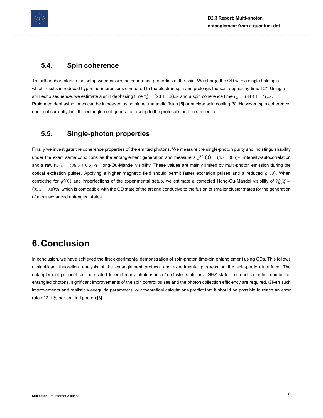#### $5.4.$ **Spin coherence**

To further characterize the setup we measure the coherence properties of the spin. We charge the QD with a single hole spin which results in reduced hyperfine-interactions compared to the electron spin and prolongs the spin dephasing time T2\*. Using a spin echo sequence, we estimate a spin dephasing time  $T_2^* = (23 \pm 1.3)ns$  and a spin coherence time  $T_2 = (448 \pm 37)ns$ . Prolonged dephasing times can be increased using higher magnetic fields [5] or nuclear spin cooling [6]. However, spin coherence does not currently limit the entanglement generation owing to the protocol's built-in spin echo.

#### $5.5.$ **Single-photon properties**

Finally we investigate the coherence properties of the emitted photons. We measure the single-photon purity and indistinguishability under the exact same conditions as the entanglement generation and measure a  $g^{(2)}(0) = (4.7 \pm 0.6)\%$  intensity-autocorrelation and a raw  $V_{HOM} = (86.5 \pm 0.6)$  % Hong-Ou-Mandel visibility. These values are mainly limited by multi-photon emission during the optical excitation pulses. Applying a higher magnetic field should permit faster excitation pulses and a reduced  $g^2(0)$ . When correcting for  $g^2(0)$  and imperfections of the experimental setup, we estimate a corrected Hong-Ou-Mandel visibility of  $V_{HOM}^{corr}$  $(95.7 \pm 0.8)\%$ , which is compatible with the QD state of the art and conducive to the fusion of smaller cluster states for the generation of more advanced entangled states.

#### **6. Conclusion**

In conclusion, we have achieved the first experimental demonstration of spin-photon time-bin entanglement using QDs. This follows a significant theoretical analysis of the entanglement protocol and experimental progress on the spin-photon interface. The entanglement protocol can be scaled to emit many photons in a 1d-cluster state or a GHZ state. To reach a higher number of entangled photons, significant improvements of the spin control pulses and the photon collection efficiency are reguired. Given such improvements and realistic waveguide parameters, our theoretical calculations predict that it should be possible to reach an error rate of 2.1 % per emitted photon [3].